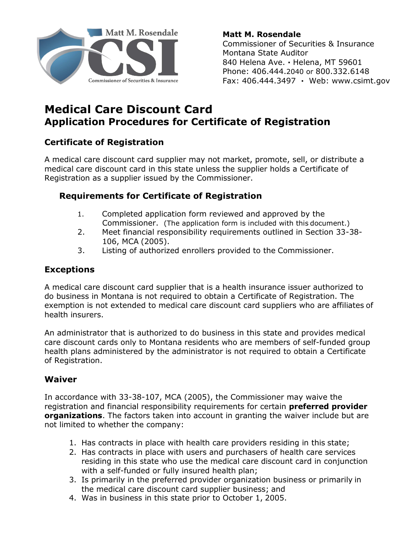

**Matt M. Rosendale** Commissioner of Securities & Insurance Montana State Auditor 840 Helena Ave. **·** Helena, MT 59601 Phone: 406.444.2040 or 800.332.6148 Fax: 406.444.3497 **·** Web: [www.csimt.gov](http://www.csi.mt.gov/) 

## **Medical Care Discount Card Application Procedures for Certificate of Registration**

## **Certificate of Registration**

A medical care discount card supplier may not market, promote, sell, or distribute a medical care discount card in this state unless the supplier holds a Certificate of Registration as a supplier issued by the Commissioner.

## **Requirements for Certificate of Registration**

- 1. Completed application form reviewed and approved by the Commissioner. (The application form is included with this document.)
- 2. Meet financial responsibility requirements outlined in Section 33-38- 106, MCA (2005).
- 3. Listing of authorized enrollers provided to the Commissioner.

#### **Exceptions**

A medical care discount card supplier that is a health insurance issuer authorized to do business in Montana is not required to obtain a Certificate of Registration. The exemption is not extended to medical care discount card suppliers who are affiliates of health insurers.

An administrator that is authorized to do business in this state and provides medical care discount cards only to Montana residents who are members of self-funded group health plans administered by the administrator is not required to obtain a Certificate of Registration.

#### **Waiver**

In accordance with 33-38-107, MCA (2005), the Commissioner may waive the registration and financial responsibility requirements for certain **preferred provider organizations**. The factors taken into account in granting the waiver include but are not limited to whether the company:

- 1. Has contracts in place with health care providers residing in this state;
- 2. Has contracts in place with users and purchasers of health care services residing in this state who use the medical care discount card in conjunction with a self-funded or fully insured health plan;
- 3. Is primarily in the preferred provider organization business or primarily in the medical care discount card supplier business; and
- 4. Was in business in this state prior to October 1, 2005.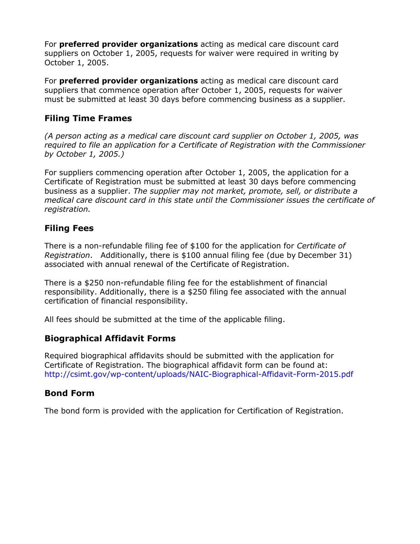For **preferred provider organizations** acting as medical care discount card suppliers on October 1, 2005, requests for waiver were required in writing by October 1, 2005.

For **preferred provider organizations** acting as medical care discount card suppliers that commence operation after October 1, 2005, requests for waiver must be submitted at least 30 days before commencing business as a supplier.

## **Filing Time Frames**

*(A person acting as a medical care discount card supplier on October 1, 2005, was required to file an application for a Certificate of Registration with the Commissioner by October 1, 2005.)* 

For suppliers commencing operation after October 1, 2005, the application for a Certificate of Registration must be submitted at least 30 days before commencing business as a supplier. *The supplier may not market, promote, sell, or distribute a medical care discount card in this state until the Commissioner issues the certificate of registration.* 

## **Filing Fees**

There is a non-refundable filing fee of \$100 for the application for *Certificate of Registration*. Additionally, there is \$100 annual filing fee (due by December 31) associated with annual renewal of the Certificate of Registration.

There is a \$250 non-refundable filing fee for the establishment of financial responsibility. Additionally, there is a \$250 filing fee associated with the annual certification of financial responsibility.

All fees should be submitted at the time of the applicable filing.

## **Biographical Affidavit Forms**

Required biographical affidavits should be submitted with the application for Certificate of Registration. The biographical affidavit form can be found at: <http://csimt.gov/wp-content/uploads/NAIC-Biographical-Affidavit-Form-2015.pdf>

## **Bond Form**

The bond form is provided with the application for Certification of Registration.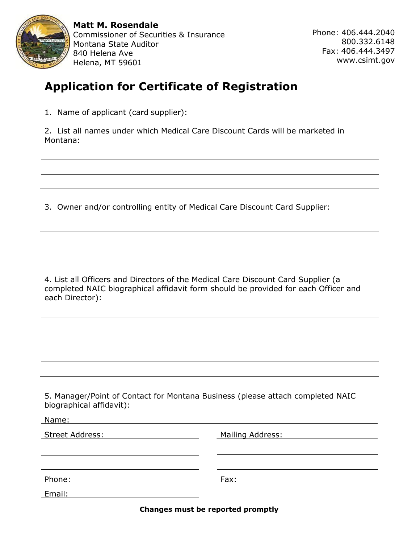

**Matt M. Rosendale** Commissioner of Securities & Insurance Montana State Auditor 840 Helena Ave Helena, MT 59601

Phone: 406.444.2040 800.332.6148 Fax: 406.444.3497 [www.csimt.gov](http://www.csi.mt.gov/) 

# **Application for Certificate of Registration**

1. Name of applicant (card supplier):

2. List all names under which Medical Care Discount Cards will be marketed in Montana:

3. Owner and/or controlling entity of Medical Care Discount Card Supplier:

4. List all Officers and Directors of the Medical Care Discount Card Supplier (a completed NAIC biographical affidavit form should be provided for each Officer and each Director):

5. Manager/Point of Contact for Montana Business (please attach completed NAIC biographical affidavit):

| Mailing Address: |
|------------------|
|                  |
|                  |
| Fax:             |
|                  |
|                  |

**Changes must be reported promptly**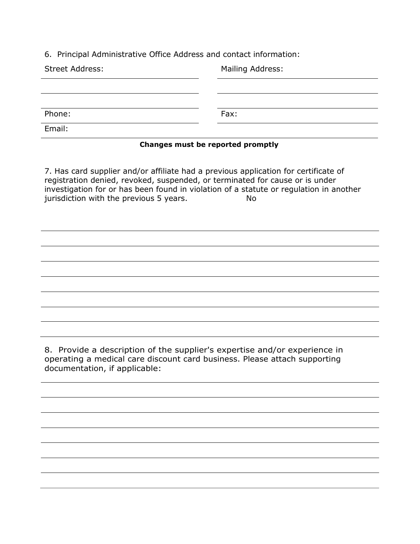6. Principal Administrative Office Address and contact information:

| <b>Street Address:</b> | Mailing Address: |  |
|------------------------|------------------|--|
|                        |                  |  |
|                        |                  |  |
| Phone:                 | Fax:             |  |
| Email:                 |                  |  |

#### **Changes must be reported promptly**

7. Has card supplier and/or affiliate had a previous application for certificate of registration denied, revoked, suspended, or terminated for cause or is under investigation for or has been found in violation of a statute or regulation in another jurisdiction with the previous 5 years. No

8. Provide a description of the supplier's expertise and/or experience in operating a medical care discount card business. Please attach supporting documentation, if applicable: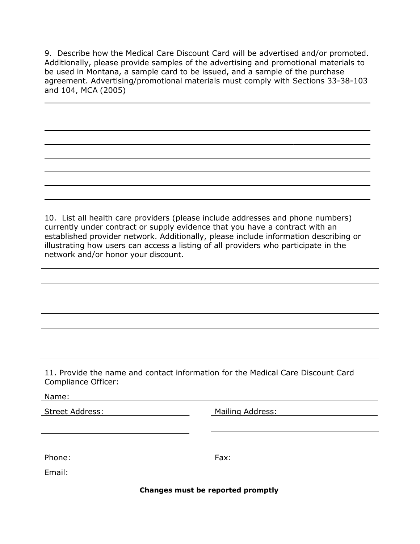9. Describe how the Medical Care Discount Card will be advertised and/or promoted. Additionally, please provide samples of the advertising and promotional materials to be used in Montana, a sample card to be issued, and a sample of the purchase agreement. Advertising/promotional materials must comply with Sections 33-38-103 and 104, MCA (2005)

10. List all health care providers (please include addresses and phone numbers) currently under contract or supply evidence that you have a contract with an established provider network. Additionally, please include information describing or illustrating how users can access a listing of all providers who participate in the network and/or honor your discount.

11. Provide the name and contact information for the Medical Care Discount Card Compliance Officer:

Name:

| .                      |                  |
|------------------------|------------------|
| <b>Street Address:</b> | Mailing Address: |
|                        |                  |
| Phone:                 | Fax:             |
| Email:                 |                  |

**Changes must be reported promptly**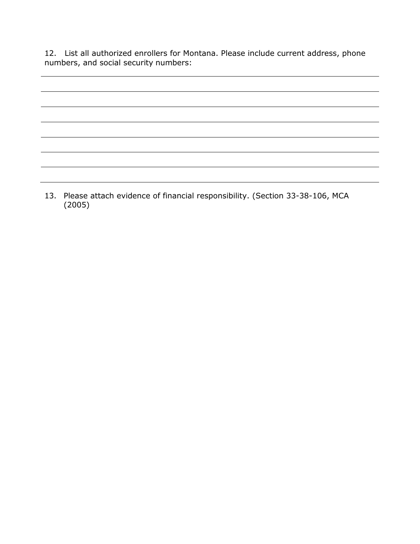12. List all authorized enrollers for Montana. Please include current address, phone numbers, and social security numbers:

13. Please attach evidence of financial responsibility. (Section 33-38-106, MCA (2005)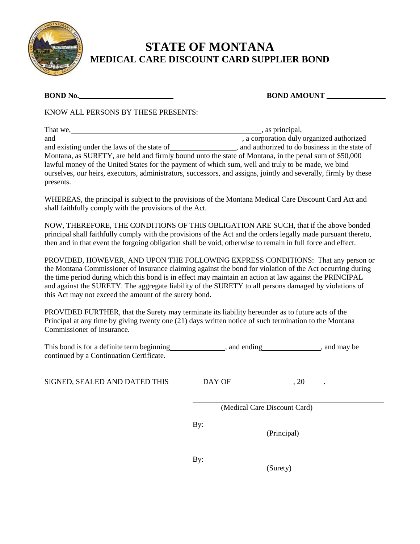

## **STATE OF MONTANA MEDICAL CARE DISCOUNT CARD SUPPLIER BOND**

**BOND No. BOND AMOUNT** 

KNOW ALL PERSONS BY THESE PRESENTS:

| That we,                                                                                                         | , as principal,                               |
|------------------------------------------------------------------------------------------------------------------|-----------------------------------------------|
| and                                                                                                              | , a corporation duly organized authorized     |
| and existing under the laws of the state of                                                                      | and authorized to do business in the state of |
| Montana, as SURETY, are held and firmly bound unto the state of Montana, in the penal sum of \$50,000            |                                               |
| lawful money of the United States for the payment of which sum, well and truly to be made, we bind               |                                               |
| ourselves, our heirs, executors, administrators, successors, and assigns, jointly and severally, firmly by these |                                               |
| presents.                                                                                                        |                                               |

WHEREAS, the principal is subject to the provisions of the Montana Medical Care Discount Card Act and shall faithfully comply with the provisions of the Act.

NOW, THEREFORE, THE CONDITIONS OF THIS OBLIGATION ARE SUCH, that if the above bonded principal shall faithfully comply with the provisions of the Act and the orders legally made pursuant thereto, then and in that event the forgoing obligation shall be void, otherwise to remain in full force and effect.

PROVIDED, HOWEVER, AND UPON THE FOLLOWING EXPRESS CONDITIONS: That any person or the Montana Commissioner of Insurance claiming against the bond for violation of the Act occurring during the time period during which this bond is in effect may maintain an action at law against the PRINCIPAL and against the SURETY. The aggregate liability of the SURETY to all persons damaged by violations of this Act may not exceed the amount of the surety bond.

PROVIDED FURTHER, that the Surety may terminate its liability hereunder as to future acts of the Principal at any time by giving twenty one (21) days written notice of such termination to the Montana Commissioner of Insurance.

| This bond is for a definite term beginning | and ending | , and may be |
|--------------------------------------------|------------|--------------|
| continued by a Continuation Certificate.   |            |              |

By:

SIGNED, SEALED AND DATED THIS DAY OF , 20 .

(Medical Care Discount Card)

(Principal)

By:

(Surety)